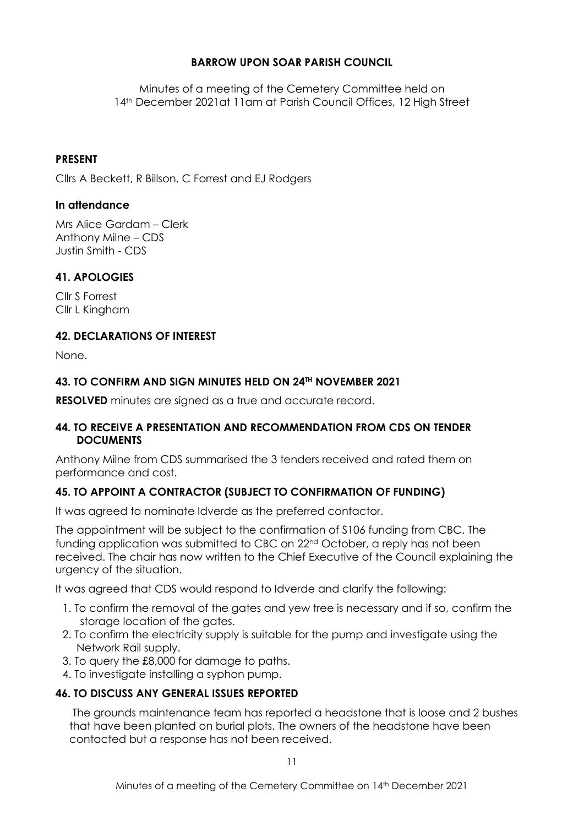# **BARROW UPON SOAR PARISH COUNCIL**

Minutes of a meeting of the Cemetery Committee held on 14th December 2021at 11am at Parish Council Offices, 12 High Street

## **PRESENT**

Cllrs A Beckett, R Billson, C Forrest and EJ Rodgers

#### **In attendance**

Mrs Alice Gardam – Clerk Anthony Milne – CDS Justin Smith - CDS

## **41. APOLOGIES**

Cllr S Forrest Cllr L Kingham

#### **42. DECLARATIONS OF INTEREST**

None.

## **43. TO CONFIRM AND SIGN MINUTES HELD ON 24TH NOVEMBER 2021**

**RESOLVED** minutes are signed as a true and accurate record.

#### **44. TO RECEIVE A PRESENTATION AND RECOMMENDATION FROM CDS ON TENDER DOCUMENTS**

Anthony Milne from CDS summarised the 3 tenders received and rated them on performance and cost.

## **45. TO APPOINT A CONTRACTOR (SUBJECT TO CONFIRMATION OF FUNDING)**

It was agreed to nominate Idverde as the preferred contactor.

The appointment will be subject to the confirmation of S106 funding from CBC. The funding application was submitted to CBC on 22nd October, a reply has not been received. The chair has now written to the Chief Executive of the Council explaining the urgency of the situation.

It was agreed that CDS would respond to Idverde and clarify the following:

- 1. To confirm the removal of the gates and yew tree is necessary and if so, confirm the storage location of the gates.
- 2. To confirm the electricity supply is suitable for the pump and investigate using the Network Rail supply.
- 3. To query the £8,000 for damage to paths.
- 4. To investigate installing a syphon pump.

## **46. TO DISCUSS ANY GENERAL ISSUES REPORTED**

The grounds maintenance team has reported a headstone that is loose and 2 bushes that have been planted on burial plots. The owners of the headstone have been contacted but a response has not been received.